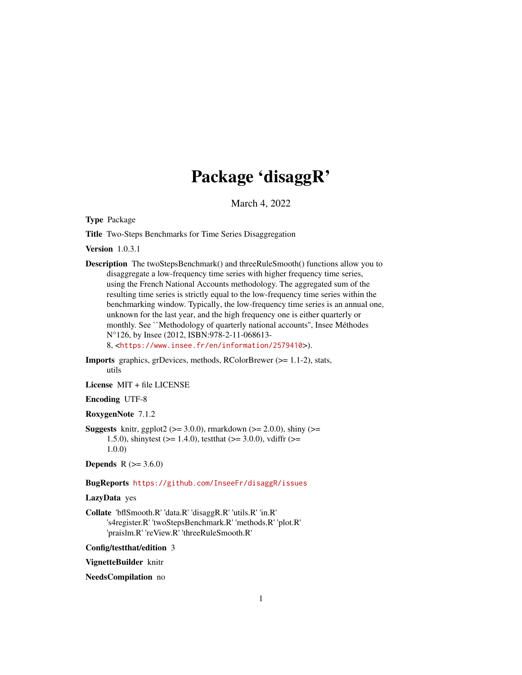# Package 'disaggR'

March 4, 2022

<span id="page-0-0"></span>Type Package

Title Two-Steps Benchmarks for Time Series Disaggregation

Version 1.0.3.1

- Description The twoStepsBenchmark() and threeRuleSmooth() functions allow you to disaggregate a low-frequency time series with higher frequency time series, using the French National Accounts methodology. The aggregated sum of the resulting time series is strictly equal to the low-frequency time series within the benchmarking window. Typically, the low-frequency time series is an annual one, unknown for the last year, and the high frequency one is either quarterly or monthly. See ``Methodology of quarterly national accounts'', Insee Méthodes N°126, by Insee (2012, ISBN:978-2-11-068613- 8, <<https://www.insee.fr/en/information/2579410>>).
- Imports graphics, grDevices, methods, RColorBrewer (>= 1.1-2), stats, utils

License MIT + file LICENSE

# Encoding UTF-8

RoxygenNote 7.1.2

**Suggests** knitr, ggplot2 ( $>= 3.0.0$ ), rmarkdown ( $>= 2.0.0$ ), shiny ( $>= 1.00$ 1.5.0), shinytest ( $>= 1.4.0$ ), testthat ( $>= 3.0.0$ ), vdiffr ( $>= 1.5.0$ ) 1.0.0)

**Depends** R  $(>= 3.6.0)$ 

# BugReports <https://github.com/InseeFr/disaggR/issues>

#### LazyData yes

Collate 'bflSmooth.R' 'data.R' 'disaggR.R' 'utils.R' 'in.R' 's4register.R' 'twoStepsBenchmark.R' 'methods.R' 'plot.R' 'praislm.R' 'reView.R' 'threeRuleSmooth.R'

Config/testthat/edition 3

VignetteBuilder knitr

NeedsCompilation no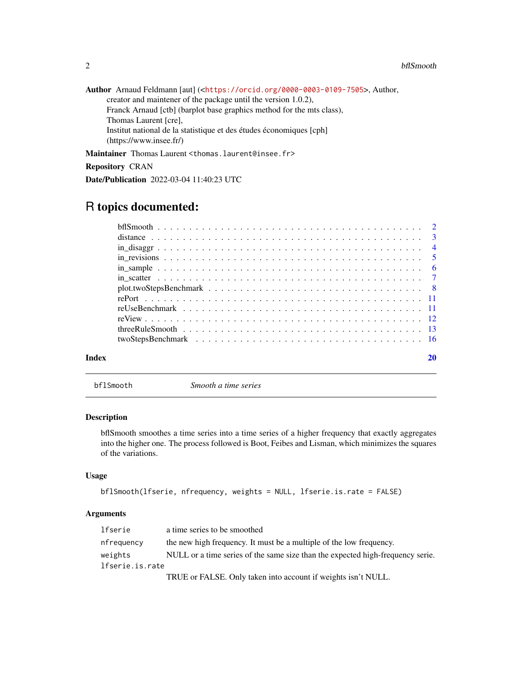| Author Arnaud Feldmann [aut] ( <https: 0000-0003-0109-7505="" orcid.org="">, Author,</https:> |
|-----------------------------------------------------------------------------------------------|
| creator and maintener of the package until the version 1.0.2).                                |
| Franck Arnaud [ctb] (barplot base graphics method for the mts class),                         |
| Thomas Laurent [cre],                                                                         |
| Institut national de la statistique et des études économiques [cph]                           |
| (htps://www.insee.fr/)                                                                        |
|                                                                                               |

Maintainer Thomas Laurent <thomas.laurent@insee.fr>

Repository CRAN

Date/Publication 2022-03-04 11:40:23 UTC

# R topics documented:

| Index |  |
|-------|--|

<span id="page-1-1"></span>bflSmooth *Smooth a time series*

# Description

bflSmooth smoothes a time series into a time series of a higher frequency that exactly aggregates into the higher one. The process followed is Boot, Feibes and Lisman, which minimizes the squares of the variations.

# Usage

```
bflSmooth(lfserie, nfrequency, weights = NULL, lfserie.is.rate = FALSE)
```

| lfserie         | a time series to be smoothed                                                   |
|-----------------|--------------------------------------------------------------------------------|
| nfrequency      | the new high frequency. It must be a multiple of the low frequency.            |
| weights         | NULL or a time series of the same size than the expected high-frequency serie. |
| lfserie.is.rate |                                                                                |
|                 | TRUE or FALSE. Only taken into account if weights isn't NULL.                  |

<span id="page-1-0"></span>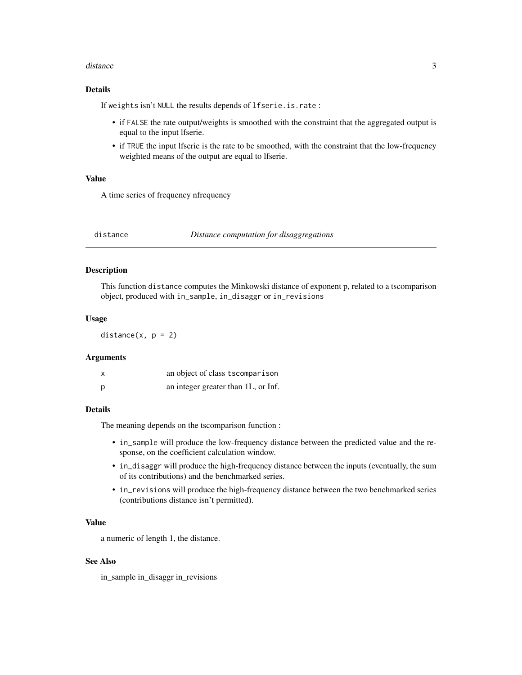#### <span id="page-2-0"></span>distance 3

#### Details

If weights isn't NULL the results depends of lfserie.is.rate :

- if FALSE the rate output/weights is smoothed with the constraint that the aggregated output is equal to the input lfserie.
- if TRUE the input lfserie is the rate to be smoothed, with the constraint that the low-frequency weighted means of the output are equal to lfserie.

# Value

A time series of frequency nfrequency

distance *Distance computation for disaggregations*

#### Description

This function distance computes the Minkowski distance of exponent p, related to a tscomparison object, produced with in\_sample, in\_disaggr or in\_revisions

#### Usage

distance $(x, p = 2)$ 

#### Arguments

| $\boldsymbol{\mathsf{x}}$ | an object of class tscomparison     |
|---------------------------|-------------------------------------|
| p                         | an integer greater than 1L, or Inf. |

#### Details

The meaning depends on the tscomparison function :

- in\_sample will produce the low-frequency distance between the predicted value and the response, on the coefficient calculation window.
- in\_disaggr will produce the high-frequency distance between the inputs (eventually, the sum of its contributions) and the benchmarked series.
- in\_revisions will produce the high-frequency distance between the two benchmarked series (contributions distance isn't permitted).

### Value

a numeric of length 1, the distance.

# See Also

in\_sample in\_disaggr in\_revisions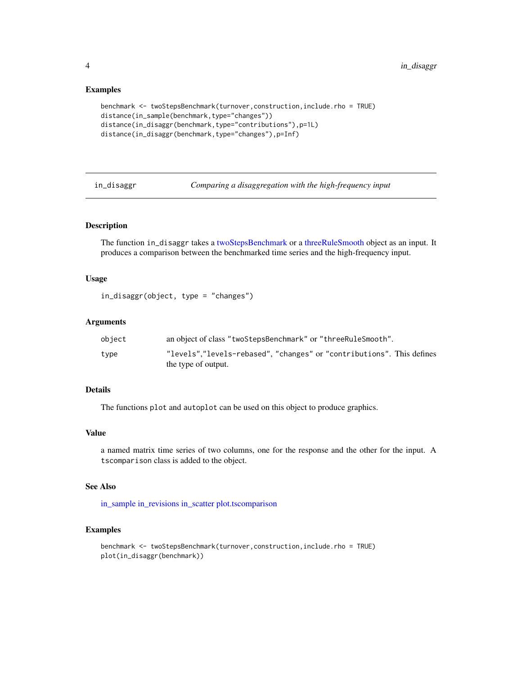#### Examples

```
benchmark <- twoStepsBenchmark(turnover,construction,include.rho = TRUE)
distance(in_sample(benchmark,type="changes"))
distance(in_disaggr(benchmark,type="contributions"),p=1L)
distance(in_disaggr(benchmark,type="changes"),p=Inf)
```
<span id="page-3-1"></span>in\_disaggr *Comparing a disaggregation with the high-frequency input*

# Description

The function in\_disaggr takes a [twoStepsBenchmark](#page-15-1) or a [threeRuleSmooth](#page-12-1) object as an input. It produces a comparison between the benchmarked time series and the high-frequency input.

#### Usage

in\_disaggr(object, type = "changes")

#### Arguments

| object | an object of class "two Steps Benchmark" or "three Rule Smooth".      |
|--------|-----------------------------------------------------------------------|
| tvpe   | "levels","levels-rebased", "changes" or "contributions". This defines |
|        | the type of output.                                                   |

#### Details

The functions plot and autoplot can be used on this object to produce graphics.

#### Value

a named matrix time series of two columns, one for the response and the other for the input. A tscomparison class is added to the object.

# See Also

[in\\_sample](#page-5-1) [in\\_revisions](#page-4-1) [in\\_scatter](#page-6-1) [plot.tscomparison](#page-7-1)

```
benchmark <- twoStepsBenchmark(turnover,construction,include.rho = TRUE)
plot(in_disaggr(benchmark))
```
<span id="page-3-0"></span>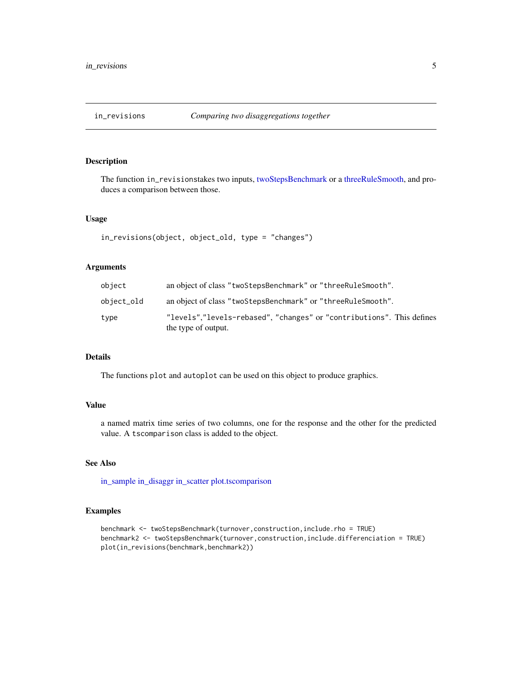<span id="page-4-1"></span><span id="page-4-0"></span>

The function in\_revisionstakes two inputs, [twoStepsBenchmark](#page-15-1) or a [threeRuleSmooth,](#page-12-1) and produces a comparison between those.

#### Usage

```
in_revisions(object, object_old, type = "changes")
```
# Arguments

| object     | an object of class "two Steps Benchmark" or "three Rule Smooth".                             |
|------------|----------------------------------------------------------------------------------------------|
| object_old | an object of class "twoStepsBenchmark" or "threeRuleSmooth".                                 |
| type       | "levels","levels-rebased", "changes" or "contributions". This defines<br>the type of output. |

# Details

The functions plot and autoplot can be used on this object to produce graphics.

#### Value

a named matrix time series of two columns, one for the response and the other for the predicted value. A tscomparison class is added to the object.

# See Also

[in\\_sample](#page-5-1) [in\\_disaggr](#page-3-1) [in\\_scatter](#page-6-1) [plot.tscomparison](#page-7-1)

```
benchmark <- twoStepsBenchmark(turnover,construction,include.rho = TRUE)
benchmark2 <- twoStepsBenchmark(turnover,construction,include.differenciation = TRUE)
plot(in_revisions(benchmark,benchmark2))
```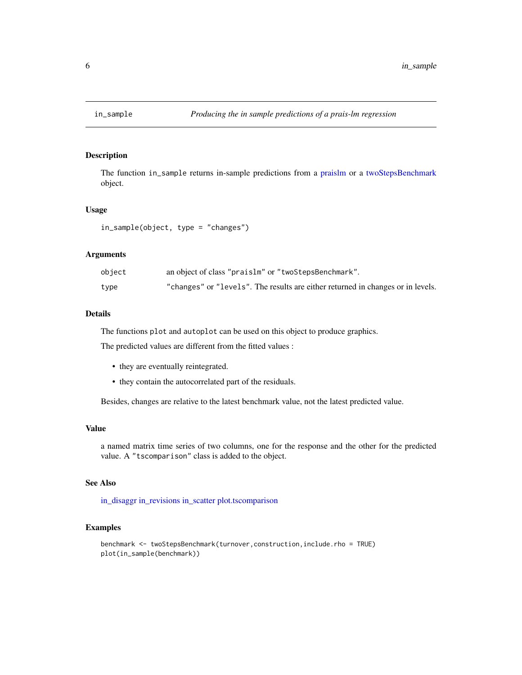<span id="page-5-1"></span><span id="page-5-0"></span>

The function in\_sample returns in-sample predictions from a [praislm](#page-0-0) or a [twoStepsBenchmark](#page-15-1) object.

# Usage

in\_sample(object, type = "changes")

#### Arguments

| object | an object of class "praislm" or "twoStepsBenchmark".                            |
|--------|---------------------------------------------------------------------------------|
| type   | "changes" or "levels". The results are either returned in changes or in levels. |

# Details

The functions plot and autoplot can be used on this object to produce graphics.

The predicted values are different from the fitted values :

- they are eventually reintegrated.
- they contain the autocorrelated part of the residuals.

Besides, changes are relative to the latest benchmark value, not the latest predicted value.

#### Value

a named matrix time series of two columns, one for the response and the other for the predicted value. A "tscomparison" class is added to the object.

# See Also

[in\\_disaggr](#page-3-1) [in\\_revisions](#page-4-1) [in\\_scatter](#page-6-1) [plot.tscomparison](#page-7-1)

```
benchmark <- twoStepsBenchmark(turnover,construction,include.rho = TRUE)
plot(in_sample(benchmark))
```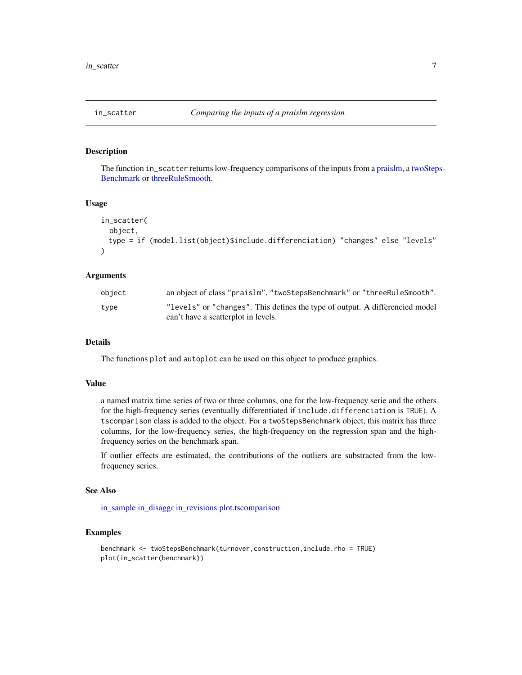<span id="page-6-1"></span><span id="page-6-0"></span>

The function in\_scatter returns low-frequency comparisons of the inputs from a [praislm,](#page-0-0) a [twoStep](#page-15-1)s-[Benchmark](#page-15-1) or [threeRuleSmooth.](#page-12-1)

#### Usage

```
in_scatter(
 object,
 type = if (model.list(object)$include.differenciation) "changes" else "levels"
)
```
#### Arguments

| object | an object of class "praislm", "two Steps Benchmark" or "three Rule Smooth".  |
|--------|------------------------------------------------------------------------------|
| tvpe   | "levels" or "changes". This defines the type of output. A differencied model |
|        | can't have a scatterplot in levels.                                          |

#### Details

The functions plot and autoplot can be used on this object to produce graphics.

#### Value

a named matrix time series of two or three columns, one for the low-frequency serie and the others for the high-frequency series (eventually differentiated if include.differenciation is TRUE). A tscomparison class is added to the object. For a twoStepsBenchmark object, this matrix has three columns, for the low-frequency series, the high-frequency on the regression span and the highfrequency series on the benchmark span.

If outlier effects are estimated, the contributions of the outliers are substracted from the lowfrequency series.

#### See Also

[in\\_sample](#page-5-1) [in\\_disaggr](#page-3-1) [in\\_revisions](#page-4-1) [plot.tscomparison](#page-7-1)

```
benchmark <- twoStepsBenchmark(turnover,construction,include.rho = TRUE)
plot(in_scatter(benchmark))
```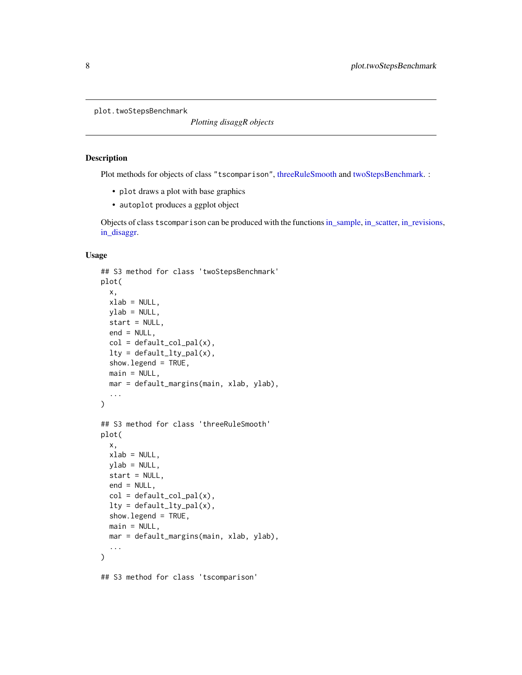<span id="page-7-0"></span>plot.twoStepsBenchmark

*Plotting disaggR objects*

#### <span id="page-7-1"></span>Description

Plot methods for objects of class "tscomparison", [threeRuleSmooth](#page-12-1) and [twoStepsBenchmark.](#page-15-1) :

- plot draws a plot with base graphics
- autoplot produces a ggplot object

Objects of class tscomparison can be produced with the functions[in\\_sample,](#page-5-1) [in\\_scatter,](#page-6-1) [in\\_revisions,](#page-4-1) [in\\_disaggr.](#page-3-1)

#### Usage

```
## S3 method for class 'twoStepsBenchmark'
plot(
  x,
  xlab = NULL,
 ylab = NULL,
  start = NULL,
  end = NULL,col = default\_col\_pal(x),
  lty = default_lty_pal(x),
  show.legend = TRUE,
 main = NULL,mar = default_margins(main, xlab, ylab),
  ...
\mathcal{L}## S3 method for class 'threeRuleSmooth'
plot(
  x,
  xlab = NULL,
 ylab = NULL,
  start = NULL,
  end = NULL,col = default\_col\_pal(x),
  lty = default_lty_pal(x),
  show.legend = TRUE,
 main = NULL,mar = default_margins(main, xlab, ylab),
  ...
)
```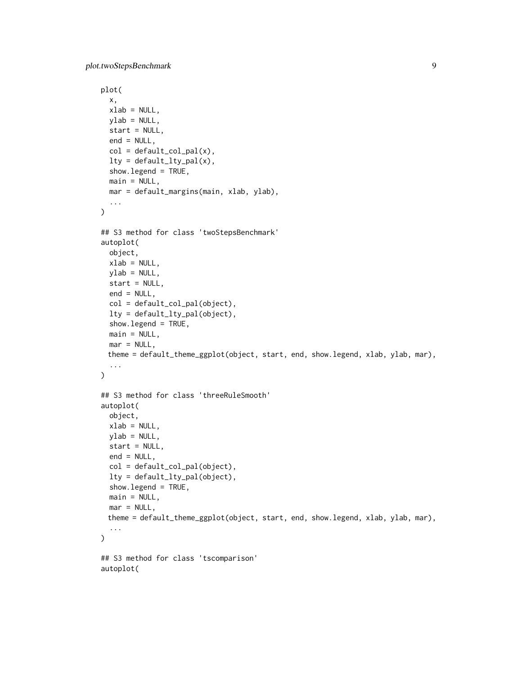plot.twoStepsBenchmark 9

```
plot(
 x,
 xlab = NULL,
 ylab = NULL,
  start = NULL,
  end = NULL,col = default\_col\_pal(x),
 lty = default_lty_pal(x),
  show.legend = TRUE,
 main = NULL,mar = default_margins(main, xlab, ylab),
  ...
)
## S3 method for class 'twoStepsBenchmark'
autoplot(
 object,
 xlab = NULL,
 ylab = NULL,
  start = NULL,
 end = NULL,col = default_col_pal(object),
  lty = default_lty_pal(object),
  show.legend = TRUE,
 main = NULL,mar = NULL,theme = default_theme_ggplot(object, start, end, show.legend, xlab, ylab, mar),
  ...
\mathcal{L}## S3 method for class 'threeRuleSmooth'
autoplot(
 object,
 xlab = NULL,
 ylab = NULL,
 start = NULL,
 end = NULL,col = default_col_pal(object),
  lty = default_lty_pal(object),
  show.legend = TRUE,
 main = NULL,mar = NULL,theme = default_theme_ggplot(object, start, end, show.legend, xlab, ylab, mar),
  ...
\lambda## S3 method for class 'tscomparison'
autoplot(
```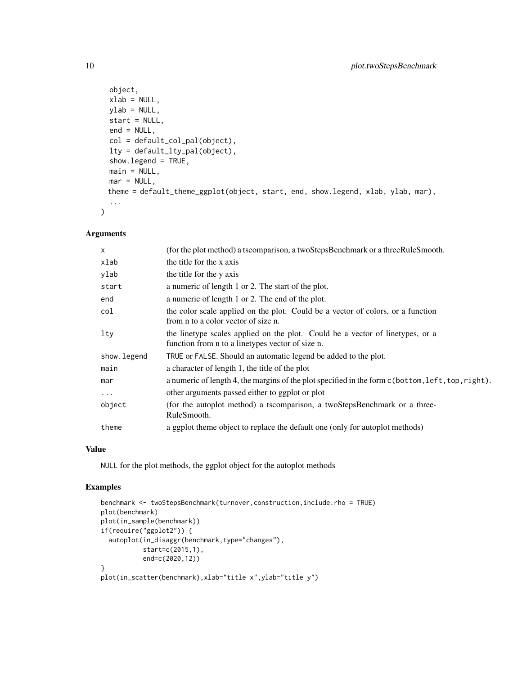```
object,
 xlab = NULL,
 vlab = NULL,start = NULL,
 end = NULL,
 col = default_col_pal(object),
 lty = default_lty_pal(object),
  show.legend = TRUE,
 main = NULL,mar = NULL,theme = default_theme_ggplot(object, start, end, show.legend, xlab, ylab, mar),
  ...
)
```
# Arguments

| X           | (for the plot method) a tscomparison, a twoStepsBenchmark or a threeRuleSmooth.                                                   |
|-------------|-----------------------------------------------------------------------------------------------------------------------------------|
| xlab        | the title for the x axis                                                                                                          |
| ylab        | the title for the y axis                                                                                                          |
| start       | a numeric of length 1 or 2. The start of the plot.                                                                                |
| end         | a numeric of length 1 or 2. The end of the plot.                                                                                  |
| col         | the color scale applied on the plot. Could be a vector of colors, or a function<br>from n to a color vector of size n.            |
| lty         | the linetype scales applied on the plot. Could be a vector of linetypes, or a<br>function from n to a linetypes vector of size n. |
| show.legend | TRUE or FALSE. Should an automatic legend be added to the plot.                                                                   |
| main        | a character of length 1, the title of the plot                                                                                    |
| mar         | a numeric of length 4, the margins of the plot specified in the form c (bottom, left, top, right).                                |
| $\cdots$    | other arguments passed either to ggplot or plot                                                                                   |
| object      | (for the autoplot method) a tscomparison, a twoStepsBenchmark or a three-<br>RuleSmooth.                                          |
| theme       | a ggplot theme object to replace the default one (only for autoplot methods)                                                      |

### Value

NULL for the plot methods, the ggplot object for the autoplot methods

```
benchmark <- twoStepsBenchmark(turnover,construction,include.rho = TRUE)
plot(benchmark)
plot(in_sample(benchmark))
if(require("ggplot2")) {
  autoplot(in_disaggr(benchmark,type="changes"),
           start=c(2015,1),
          end=c(2020,12))
}
plot(in_scatter(benchmark),xlab="title x",ylab="title y")
```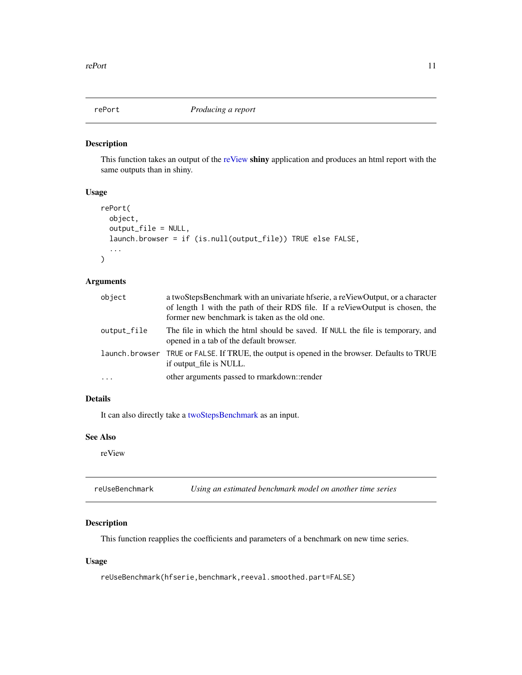<span id="page-10-1"></span><span id="page-10-0"></span>

This function takes an output of the [reView](#page-11-1) shiny application and produces an html report with the same outputs than in shiny.

# Usage

```
rePort(
  object,
  output_file = NULL,
  launch.browser = if (is.null(output_file)) TRUE else FALSE,
  ...
\mathcal{L}
```
# Arguments

| object      | a twoStepsBenchmark with an univariate hfserie, a reViewOutput, or a character<br>of length 1 with the path of their RDS file. If a reViewOutput is chosen, the<br>former new benchmark is taken as the old one. |
|-------------|------------------------------------------------------------------------------------------------------------------------------------------------------------------------------------------------------------------|
| output_file | The file in which the html should be saved. If NULL the file is temporary, and<br>opened in a tab of the default browser.                                                                                        |
|             | launch. browser TRUE or FALSE. If TRUE, the output is opened in the browser. Defaults to TRUE<br>if output file is NULL.                                                                                         |
| $\cdots$    | other arguments passed to rmarkdown::render                                                                                                                                                                      |

# Details

It can also directly take a [twoStepsBenchmark](#page-15-1) as an input.

#### See Also

reView

reUseBenchmark *Using an estimated benchmark model on another time series*

# Description

This function reapplies the coefficients and parameters of a benchmark on new time series.

# Usage

reUseBenchmark(hfserie,benchmark,reeval.smoothed.part=FALSE)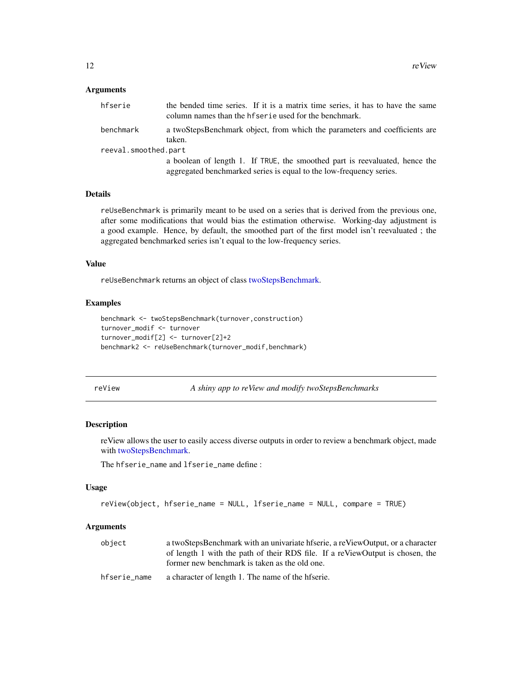#### <span id="page-11-0"></span>**Arguments**

| hfserie              | the bended time series. If it is a matrix time series, it has to have the same<br>column names than the helpharities used for the benchmark. |
|----------------------|----------------------------------------------------------------------------------------------------------------------------------------------|
| benchmark            | a twoStepsBenchmark object, from which the parameters and coefficients are<br>taken.                                                         |
| reeval.smoothed.part |                                                                                                                                              |
|                      | a boolean of length 1. If TRUE, the smoothed part is reevaluated, hence the                                                                  |
|                      | aggregated benchmarked series is equal to the low-frequency series.                                                                          |

#### Details

reUseBenchmark is primarily meant to be used on a series that is derived from the previous one, after some modifications that would bias the estimation otherwise. Working-day adjustment is a good example. Hence, by default, the smoothed part of the first model isn't reevaluated ; the aggregated benchmarked series isn't equal to the low-frequency series.

#### Value

reUseBenchmark returns an object of class [twoStepsBenchmark.](#page-15-1)

#### Examples

```
benchmark <- twoStepsBenchmark(turnover,construction)
turnover_modif <- turnover
turnover_modif[2] <- turnover[2]+2
benchmark2 <- reUseBenchmark(turnover_modif,benchmark)
```
<span id="page-11-1"></span>

|  | eView |  |
|--|-------|--|
|  |       |  |
|  |       |  |
|  |       |  |
|  |       |  |

A shiny app to reView and modify twoStepsBenchmarks

#### Description

reView allows the user to easily access diverse outputs in order to review a benchmark object, made with [twoStepsBenchmark.](#page-15-1)

The hfserie\_name and lfserie\_name define :

#### Usage

```
reView(object, hfserie_name = NULL, lfserie_name = NULL, compare = TRUE)
```

| object       | a twoStepsBenchmark with an univariate hfserie, a reViewOutput, or a character |
|--------------|--------------------------------------------------------------------------------|
|              | of length 1 with the path of their RDS file. If a reViewOutput is chosen, the  |
|              | former new benchmark is taken as the old one.                                  |
| hfserie name | a character of length 1. The name of the hfserie.                              |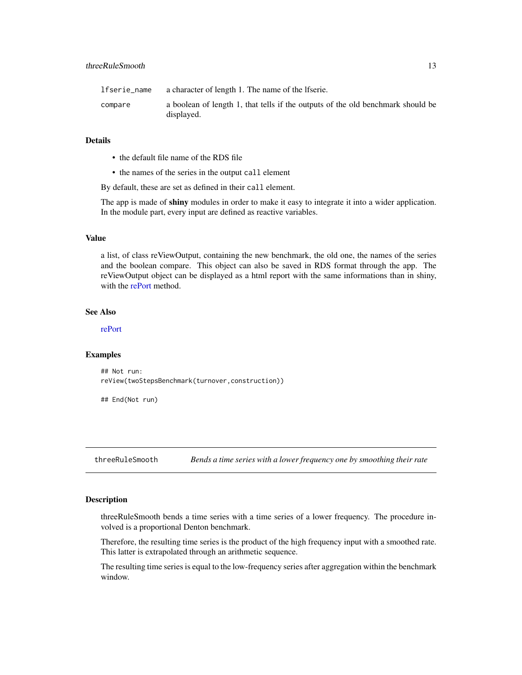<span id="page-12-0"></span>

| lfserie_name | a character of length 1. The name of the lfserie.                                             |
|--------------|-----------------------------------------------------------------------------------------------|
| compare      | a boolean of length 1, that tells if the outputs of the old benchmark should be<br>displayed. |

#### Details

- the default file name of the RDS file
- the names of the series in the output call element

By default, these are set as defined in their call element.

The app is made of shiny modules in order to make it easy to integrate it into a wider application. In the module part, every input are defined as reactive variables.

#### Value

a list, of class reViewOutput, containing the new benchmark, the old one, the names of the series and the boolean compare. This object can also be saved in RDS format through the app. The reViewOutput object can be displayed as a html report with the same informations than in shiny, with the [rePort](#page-10-1) method.

# See Also

[rePort](#page-10-1)

#### Examples

## Not run: reView(twoStepsBenchmark(turnover,construction))

## End(Not run)

<span id="page-12-1"></span>threeRuleSmooth *Bends a time series with a lower frequency one by smoothing their rate*

#### Description

threeRuleSmooth bends a time series with a time series of a lower frequency. The procedure involved is a proportional Denton benchmark.

Therefore, the resulting time series is the product of the high frequency input with a smoothed rate. This latter is extrapolated through an arithmetic sequence.

The resulting time series is equal to the low-frequency series after aggregation within the benchmark window.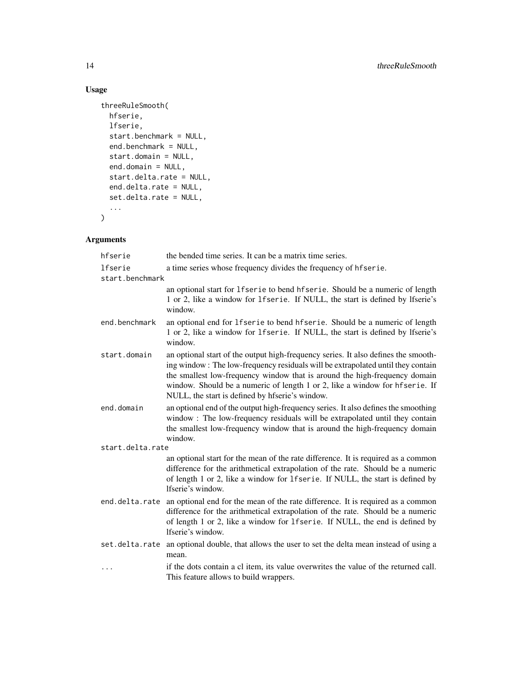# Usage

```
threeRuleSmooth(
 hfserie,
 lfserie,
 start.benchmark = NULL,
 end.benchmark = NULL,
 start.domain = NULL,
 end.domain = NULL,
  start.delta.rate = NULL,
 end.delta.rate = NULL,
 set.delta.rate = NULL,
  ...
\mathcal{L}
```

| hfserie          | the bended time series. It can be a matrix time series.                                                                                                                                                                                                                                                                                                                               |
|------------------|---------------------------------------------------------------------------------------------------------------------------------------------------------------------------------------------------------------------------------------------------------------------------------------------------------------------------------------------------------------------------------------|
| lfserie          | a time series whose frequency divides the frequency of heliatie.                                                                                                                                                                                                                                                                                                                      |
| start.benchmark  |                                                                                                                                                                                                                                                                                                                                                                                       |
|                  | an optional start for 1 f serie to bend h f serie. Should be a numeric of length<br>1 or 2, like a window for 1fserie. If NULL, the start is defined by lfserie's<br>window.                                                                                                                                                                                                          |
| end.benchmark    | an optional end for lfserie to bend hfserie. Should be a numeric of length<br>1 or 2, like a window for 1 f serie. If NULL, the start is defined by lfserie's<br>window.                                                                                                                                                                                                              |
| start.domain     | an optional start of the output high-frequency series. It also defines the smooth-<br>ing window: The low-frequency residuals will be extrapolated until they contain<br>the smallest low-frequency window that is around the high-frequency domain<br>window. Should be a numeric of length 1 or 2, like a window for hfserie. If<br>NULL, the start is defined by hfserie's window. |
| end.domain       | an optional end of the output high-frequency series. It also defines the smoothing<br>window: The low-frequency residuals will be extrapolated until they contain<br>the smallest low-frequency window that is around the high-frequency domain<br>window.                                                                                                                            |
| start.delta.rate |                                                                                                                                                                                                                                                                                                                                                                                       |
|                  | an optional start for the mean of the rate difference. It is required as a common<br>difference for the arithmetical extrapolation of the rate. Should be a numeric<br>of length 1 or 2, like a window for 1fserie. If NULL, the start is defined by<br>lfserie's window.                                                                                                             |
| end.delta.rate   | an optional end for the mean of the rate difference. It is required as a common<br>difference for the arithmetical extrapolation of the rate. Should be a numeric<br>of length 1 or 2, like a window for 1fserie. If NULL, the end is defined by<br>lfserie's window.                                                                                                                 |
| set.delta.rate   | an optional double, that allows the user to set the delta mean instead of using a<br>mean.                                                                                                                                                                                                                                                                                            |
|                  | if the dots contain a cl item, its value overwrites the value of the returned call.<br>This feature allows to build wrappers.                                                                                                                                                                                                                                                         |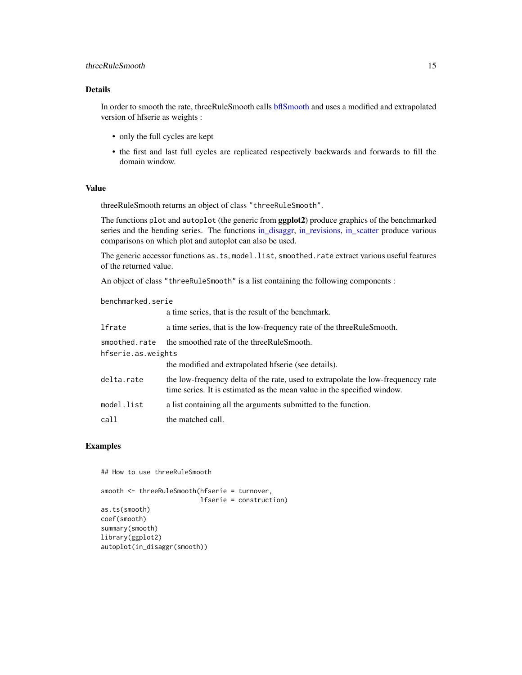#### <span id="page-14-0"></span>threeRuleSmooth 15

# Details

In order to smooth the rate, threeRuleSmooth calls [bflSmooth](#page-1-1) and uses a modified and extrapolated version of hfserie as weights :

- only the full cycles are kept
- the first and last full cycles are replicated respectively backwards and forwards to fill the domain window.

# Value

threeRuleSmooth returns an object of class "threeRuleSmooth".

The functions plot and autoplot (the generic from **ggplot2**) produce graphics of the benchmarked series and the bending series. The functions [in\\_disaggr,](#page-3-1) [in\\_revisions,](#page-4-1) [in\\_scatter](#page-6-1) produce various comparisons on which plot and autoplot can also be used.

The generic accessor functions as.ts, model.list, smoothed.rate extract various useful features of the returned value.

An object of class "threeRuleSmooth" is a list containing the following components :

benchmarked.serie

|                    | a time series, that is the result of the benchmark.                                                                                                        |  |
|--------------------|------------------------------------------------------------------------------------------------------------------------------------------------------------|--|
| lfrate             | a time series, that is the low-frequency rate of the three Rule Smooth.                                                                                    |  |
| smoothed.rate      | the smoothed rate of the three Rule Smooth.                                                                                                                |  |
| hfserie.as.weights |                                                                                                                                                            |  |
|                    | the modified and extrapolated histerie (see details).                                                                                                      |  |
| delta.rate         | the low-frequency delta of the rate, used to extrapolate the low-frequency rate<br>time series. It is estimated as the mean value in the specified window. |  |
| model.list         | a list containing all the arguments submitted to the function.                                                                                             |  |
| call               | the matched call.                                                                                                                                          |  |

# Examples

## How to use threeRuleSmooth smooth <- threeRuleSmooth(hfserie = turnover, lfserie = construction) as.ts(smooth) coef(smooth) summary(smooth) library(ggplot2) autoplot(in\_disaggr(smooth))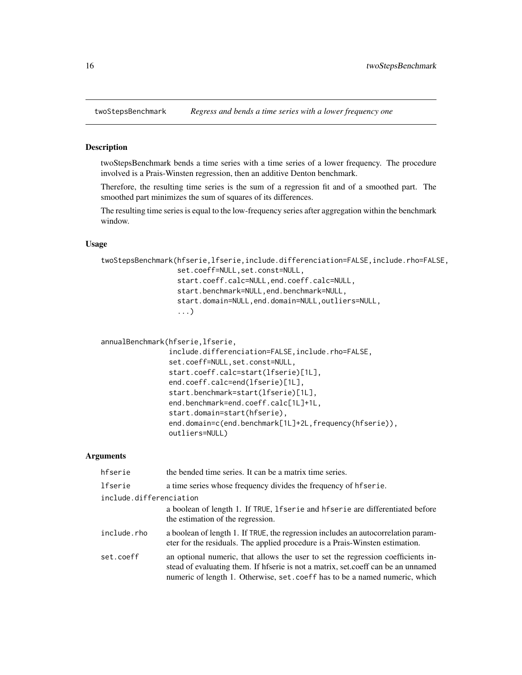<span id="page-15-1"></span><span id="page-15-0"></span>

twoStepsBenchmark bends a time series with a time series of a lower frequency. The procedure involved is a Prais-Winsten regression, then an additive Denton benchmark.

Therefore, the resulting time series is the sum of a regression fit and of a smoothed part. The smoothed part minimizes the sum of squares of its differences.

The resulting time series is equal to the low-frequency series after aggregation within the benchmark window.

# Usage

```
twoStepsBenchmark(hfserie,lfserie,include.differenciation=FALSE,include.rho=FALSE,
                  set.coeff=NULL,set.const=NULL,
                  start.coeff.calc=NULL,end.coeff.calc=NULL,
                  start.benchmark=NULL,end.benchmark=NULL,
                  start.domain=NULL,end.domain=NULL,outliers=NULL,
                  ...)
```

```
annualBenchmark(hfserie,lfserie,
```

```
include.differenciation=FALSE,include.rho=FALSE,
set.coeff=NULL, set.const=NULL,
start.coeff.calc=start(lfserie)[1L],
end.coeff.calc=end(lfserie)[1L],
start.benchmark=start(lfserie)[1L],
end.benchmark=end.coeff.calc[1L]+1L,
start.domain=start(hfserie),
end.domain=c(end.benchmark[1L]+2L,frequency(hfserie)),
outliers=NULL)
```

| hfserie                 | the bended time series. It can be a matrix time series.                                                                                                                                                                                               |
|-------------------------|-------------------------------------------------------------------------------------------------------------------------------------------------------------------------------------------------------------------------------------------------------|
| lfserie                 | a time series whose frequency divides the frequency of hfserie.                                                                                                                                                                                       |
| include.differenciation |                                                                                                                                                                                                                                                       |
|                         | a boolean of length 1. If TRUE, 1 f serie and hf serie are differentiated before<br>the estimation of the regression.                                                                                                                                 |
| include.rho             | a boolean of length 1. If TRUE, the regression includes an autocorrelation param-<br>eter for the residuals. The applied procedure is a Prais-Winsten estimation.                                                                                     |
| set.coeff               | an optional numeric, that allows the user to set the regression coefficients in-<br>stead of evaluating them. If hfserie is not a matrix, set.coeff can be an unnamed<br>numeric of length 1. Otherwise, set . coeff has to be a named numeric, which |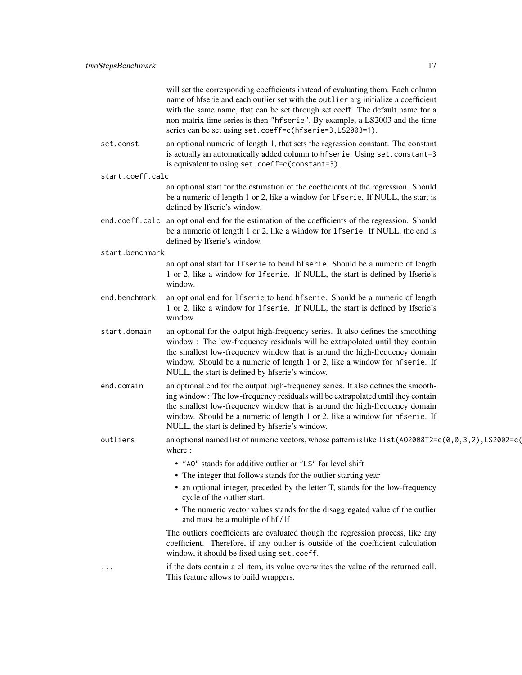| will set the corresponding coefficients instead of evaluating them. Each column    |
|------------------------------------------------------------------------------------|
| name of historic and each outlier set with the outlier arguinitalize a coefficient |
| with the same name, that can be set through set coeff. The default name for a      |
| non-matrix time series is then "hfserie", By example, a LS2003 and the time        |
| series can be set using set.coeff=c(hfserie=3,LS2003=1).                           |

- set.const an optional numeric of length 1, that sets the regression constant. The constant is actually an automatically added column to hfserie. Using set.constant=3 is equivalent to using set.coeff=c(constant=3).
- start.coeff.calc

an optional start for the estimation of the coefficients of the regression. Should be a numeric of length 1 or 2, like a window for lfserie. If NULL, the start is defined by lfserie's window.

- end.coeff.calc an optional end for the estimation of the coefficients of the regression. Should be a numeric of length 1 or 2, like a window for lfserie. If NULL, the end is defined by lfserie's window.
- start.benchmark

an optional start for lfserie to bend hfserie. Should be a numeric of length 1 or 2, like a window for lfserie. If NULL, the start is defined by lfserie's window.

end.benchmark an optional end for lfserie to bend hfserie. Should be a numeric of length 1 or 2, like a window for lfserie. If NULL, the start is defined by lfserie's window.

start.domain an optional for the output high-frequency series. It also defines the smoothing window : The low-frequency residuals will be extrapolated until they contain the smallest low-frequency window that is around the high-frequency domain window. Should be a numeric of length 1 or 2, like a window for hfserie. If NULL, the start is defined by hfserie's window.

- end.domain an optional end for the output high-frequency series. It also defines the smoothing window : The low-frequency residuals will be extrapolated until they contain the smallest low-frequency window that is around the high-frequency domain window. Should be a numeric of length 1 or 2, like a window for hfserie. If NULL, the start is defined by hfserie's window.
- outliers an optional named list of numeric vectors, whose pattern is like list(AO2008T2=c(0,0,3,2),LS2002=c( where :
	- "AO" stands for additive outlier or "LS" for level shift
	- The integer that follows stands for the outlier starting year
	- an optional integer, preceded by the letter T, stands for the low-frequency cycle of the outlier start.
	- The numeric vector values stands for the disaggregated value of the outlier and must be a multiple of hf / lf

The outliers coefficients are evaluated though the regression process, like any coefficient. Therefore, if any outlier is outside of the coefficient calculation window, it should be fixed using set.coeff.

... if the dots contain a cl item, its value overwrites the value of the returned call. This feature allows to build wrappers.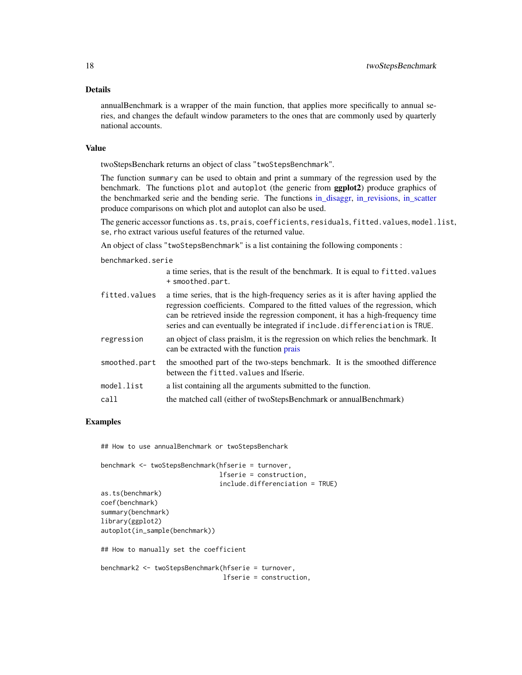#### <span id="page-17-0"></span>Details

annualBenchmark is a wrapper of the main function, that applies more specifically to annual series, and changes the default window parameters to the ones that are commonly used by quarterly national accounts.

#### Value

twoStepsBenchark returns an object of class "twoStepsBenchmark".

The function summary can be used to obtain and print a summary of the regression used by the benchmark. The functions plot and autoplot (the generic from ggplot2) produce graphics of the benchmarked serie and the bending serie. The functions [in\\_disaggr,](#page-3-1) [in\\_revisions,](#page-4-1) [in\\_scatter](#page-6-1) produce comparisons on which plot and autoplot can also be used.

The generic accessor functions as.ts, prais, coefficients, residuals, fitted.values, model.list, se, rho extract various useful features of the returned value.

An object of class "twoStepsBenchmark" is a list containing the following components :

benchmarked.serie

|               | a time series, that is the result of the benchmark. It is equal to fitted. values<br>+ smoothed.part.                                                                                                                                                                                                                                  |
|---------------|----------------------------------------------------------------------------------------------------------------------------------------------------------------------------------------------------------------------------------------------------------------------------------------------------------------------------------------|
| fitted.values | a time series, that is the high-frequency series as it is after having applied the<br>regression coefficients. Compared to the fitted values of the regression, which<br>can be retrieved inside the regression component, it has a high-frequency time<br>series and can eventually be integrated if include differenciation is TRUE. |
| regression    | an object of class praislm, it is the regression on which relies the benchmark. It<br>can be extracted with the function prais                                                                                                                                                                                                         |
| smoothed.part | the smoothed part of the two-steps benchmark. It is the smoothed difference<br>between the fitted, values and Ifserie.                                                                                                                                                                                                                 |
| model.list    | a list containing all the arguments submitted to the function.                                                                                                                                                                                                                                                                         |
| call          | the matched call (either of twoStepsBenchmark or annualBenchmark)                                                                                                                                                                                                                                                                      |

# Examples

## How to use annualBenchmark or twoStepsBenchark

```
benchmark <- twoStepsBenchmark(hfserie = turnover,
                               lfserie = construction,
                               include.differenciation = TRUE)
as.ts(benchmark)
coef(benchmark)
summary(benchmark)
library(ggplot2)
autoplot(in_sample(benchmark))
## How to manually set the coefficient
benchmark2 <- twoStepsBenchmark(hfserie = turnover,
                                lfserie = construction,
```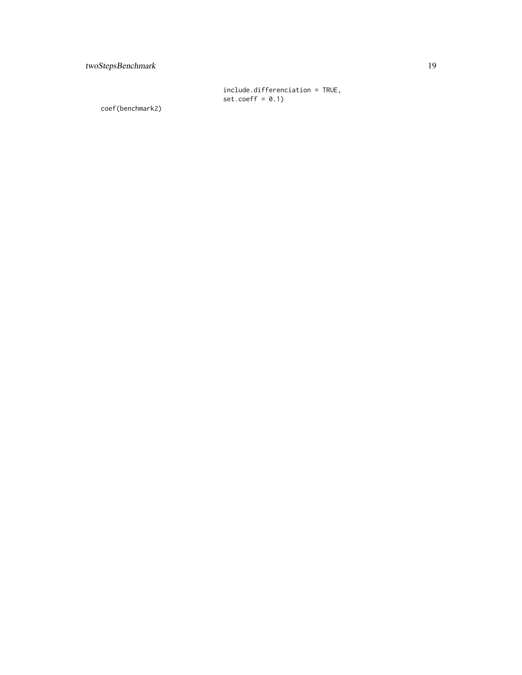include.differenciation = TRUE, set.coeff = 0.1)

coef(benchmark2)